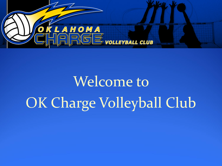

# Welcome to OK Charge Volleyball Club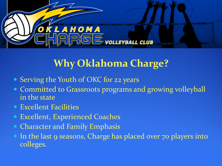

### **Why Oklahoma Charge?**

- Serving the Youth of OKC for 22 years
- Committed to Grassroots programs and growing volleyball in the state
- Excellent Facilities
- Excellent, Experienced Coaches
- Character and Family Emphasis
- In the last 9 seasons, Charge has placed over 70 players into colleges.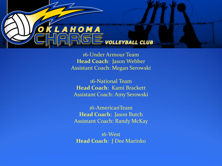

16-Under Armour Team **Head Coach**: Jason Webber Assistant Coach: Megan Serowski

16-National Team **Head Coach**: Kami Brackett Assistant Coach: Amy Serowski

16-AmericanTeam **Head Coach**: Jason Butch Assistant Coach: Randy McKay

16-West **Head Coach**: J Dee Marinko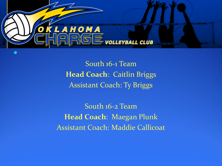

South 16-1 Team **Head Coach**: Caitlin Briggs Assistant Coach: Ty Briggs

South 16-2 Team **Head Coach**: Maegan Plunk Assistant Coach: Maddie Callicoat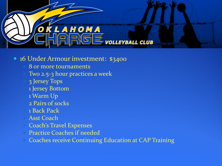

#### 16 Under Armour investment: \$3400

- 8 or more tournaments
- Two 2.5-3 hour practices a week
- 3 Jersey Tops
- 1 Jersey Bottom
- 1 Warm Up
- 2 Pairs of socks
- 1 Back Pack
- Asst Coach
- Coach's Travel Expenses
- Practice Coaches if needed
- Coaches receive Continuing Education at CAP Training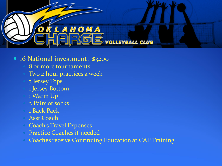

#### 16 National investment: \$3200

- 8 or more tournaments
- Two 2 hour practices a week
- 3 Jersey Tops
- 1 Jersey Bottom
- 1 Warm Up
- 2 Pairs of socks
- 1 Back Pack
- Asst Coach
- Coach's Travel Expenses
- Practice Coaches if needed
- Coaches receive Continuing Education at CAP Training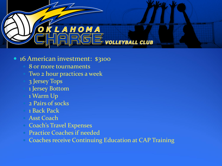

#### • 16 American investment: \$3100

- 8 or more tournaments
- Two 2 hour practices a week
- 3 Jersey Tops
- 1 Jersey Bottom
- 1 Warm Up
- 2 Pairs of socks
- 1 Back Pack
- Asst Coach
- Coach's Travel Expenses
- Practice Coaches if needed
- Coaches receive Continuing Education at CAP Training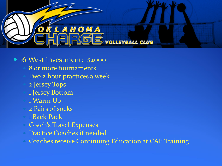

#### • 16 West investment: \$2000

- 8 or more tournaments
- Two 2 hour practices a week
- 2 Jersey Tops
- 1 Jersey Bottom
- 1 Warm Up
- 2 Pairs of socks
- 1 Back Pack
- Coach's Travel Expenses
- Practice Coaches if needed
- Coaches receive Continuing Education at CAP Training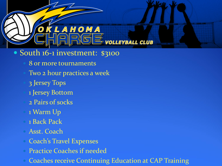## KLAHOMA **SE** VOLLEYBALL CLUB

- South 16-1 investment: \$3100
	- 8 or more tournaments
	- Two 2 hour practices a week
		- 3 Jersey Tops
		- 1 Jersey Bottom
	- 2 Pairs of socks
	- 1 Warm Up
	- 1 Back Pack
	- Asst. Coach
	- Coach's Travel Expenses
	- Practice Coaches if needed
	- Coaches receive Continuing Education at CAP Training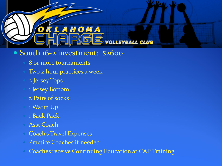## KLAHOMA SE VOLLEYBALL CLUB

#### • South 16-2 investment: \$2600

- 8 or more tournaments
- Two 2 hour practices a week
	- 2 Jersey Tops
	- 1 Jersey Bottom
	- 2 Pairs of socks
- 1 Warm Up
- 1 Back Pack
- Asst Coach
- Coach's Travel Expenses
- Practice Coaches if needed
- Coaches receive Continuing Education at CAP Training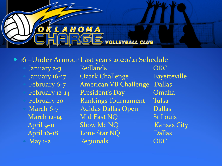

• 16 –Under Armour Last years 2020/21 Schedule

January 2-3 Redlands OKC January 16-17 Ozark Challenge Fayetteville February 6-7 American VB Challenge Dallas February 12-14 President's Day Cmaha February 20 Rankings Tournament Tulsa March 6-7 Adidas Dallas Open Dallas March 12-14 Mid East NQ St Louis April 9-11 Show Me NQ Kansas City April 16-18 Lone Star NQ Dallas May 1-2 Regionals CKC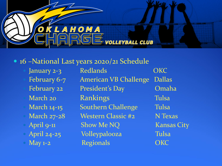

#### • 16 –National Last years 2020/21 Schedule

- 
- 
- 
- 

January 2-3 Redlands CKC February 6-7 American VB Challenge Dallas February 22 President's Day Omaha March 20 Rankings Tulsa March 14-15 Southern Challenge Tulsa March 27-28 Western Classic #2 N Texas April 9-11 Show Me NQ Kansas City April 24-25 Volleypalooza Tulsa May 1-2 Regionals CKC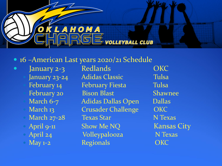

#### • 16 –American Last years 2020/21 Schedule

- -
	-

• January 2-3 Redlands OKC January 23-24 Adidas Classic Tulsa February 14 February Fiesta Tulsa February 20 Bison Blast Shawnee March 6-7 Adidas Dallas Open Dallas March 13 Crusader Challenge OKC March 27-28 Texas Star N Texas April 9-11 Show Me NQ Kansas City • April 24 Volleypalooza N Texas May 1-2 Regionals OKC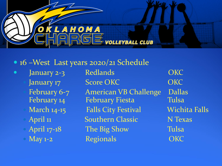

#### • 16 –West Last years 2020/21 Schedule

- -
	-
	-
	-

• January 2-3 Redlands OKC January 17 Score OKC OKC February 6-7 American VB Challenge Dallas February 14 February Fiesta Tulsa March 14-15 Falls City Festival Wichita Falls April 11 Southern Classic N Texas April 17-18 The Big Show Tulsa May 1-2 Regionals CKC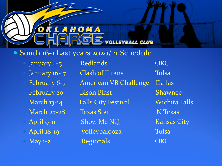## SE volleyball club • South 16-1 Last years 2020/21 Schedule

January 4-5 Redlands OKC January 16-17 Clash of Titans Tulsa February 6-7 American VB Challenge Dallas February 20 Bison Blast Shawnee March 13-14 Falls City Festival Wichita Falls March 27-28 Texas Star N Texas April 9-11 Show Me NQ Kansas City April 18-19 Volleypalooza Tulsa May 1-2 Regionals CKC

Broncho March Madness Edmond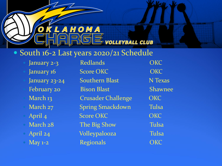## SE volleyball club • South 16-2 Last years 2020/21 Schedule

- 
- 
- 
- 
- 
- 
- 
- 
- 
- 

January 2-3 Redlands CKC January 16 Score OKC COKC January 23-24 Southern Blast N Texas February 20 Bison Blast Shawnee March 13 Crusader Challenge OKC March 27 Spring Smackdown Tulsa April 4 Score OKC COKC OKC March 28 The Big Show Tulsa April 24 Volleypalooza Tulsa May 1-2 Regionals **Regionals** OKC

Broncho March Madness Edmond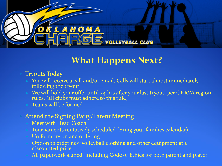

### **What Happens Next?**

- Tryouts Today
	- You will receive a call and/or email. Calls will start almost immediately following the tryout.
	- We will hold your offer until 24 hrs after your last tryout, per OKRVA region rules. (all clubs must adhere to this rule)
	- Teams will be formed

#### Attend the Signing Party/Parent Meeting

- Meet with Head Coach
- Tournaments tentatively scheduled (Bring your families calendar)
- Uniform try on and ordering
- Option to order new volleyball clothing and other equipment at a discounted price
- All paperwork signed, including Code of Ethics for both parent and player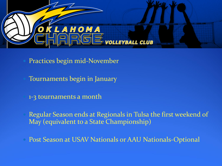

- Practices begin mid-November
- Tournaments begin in January
- 1-3 tournaments a month
- Regular Season ends at Regionals in Tulsa the first weekend of May (equivalent to a State Championship)
- Post Season at USAV Nationals or AAU Nationals-Optional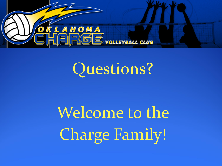

## Questions?

# Welcome to the Charge Family!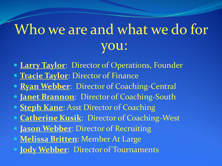## Who we are and what we do for ou:

- **Larry Taylor**: Director of Operations, Founder
- **Tracie Taylor**: Director of Finance
- **Ryan Webber:** Director of Coaching-Central
- **Janet Brannon**: Director of Coaching-South
- **Steph Kane: Asst Director of Coaching**
- **Catherine Kusik**: Director of Coaching-West
- **Jason Webber: Director of Recruiting**
- **Melissa Britten**: Member At Large
- **Jody Webber:** Director of Tournaments